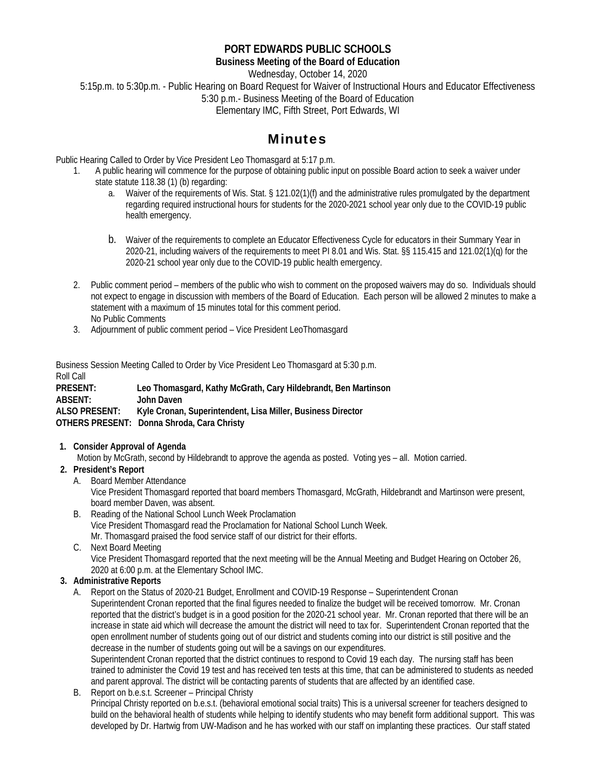### **PORT EDWARDS PUBLIC SCHOOLS**

**Business Meeting of the Board of Education** 

Wednesday, October 14, 2020

5:15p.m. to 5:30p.m. - Public Hearing on Board Request for Waiver of Instructional Hours and Educator Effectiveness 5:30 p.m.- Business Meeting of the Board of Education

Elementary IMC, Fifth Street, Port Edwards, WI

## Minutes

Public Hearing Called to Order by Vice President Leo Thomasgard at 5:17 p.m.

- 1. A public hearing will commence for the purpose of obtaining public input on possible Board action to seek a waiver under state statute 118.38 (1) (b) regarding:
	- a. Waiver of the requirements of Wis. Stat. § 121.02(1)(f) and the administrative rules promulgated by the department regarding required instructional hours for students for the 2020-2021 school year only due to the COVID-19 public health emergency.
	- b. Waiver of the requirements to complete an Educator Effectiveness Cycle for educators in their Summary Year in 2020-21, including waivers of the requirements to meet PI 8.01 and Wis. Stat. §§ 115.415 and 121.02(1)(q) for the 2020-21 school year only due to the COVID-19 public health emergency.
- 2. Public comment period members of the public who wish to comment on the proposed waivers may do so. Individuals should not expect to engage in discussion with members of the Board of Education. Each person will be allowed 2 minutes to make a statement with a maximum of 15 minutes total for this comment period. No Public Comments
- 3. Adjournment of public comment period Vice President LeoThomasgard

Business Session Meeting Called to Order by Vice President Leo Thomasgard at 5:30 p.m. Roll Call

| PRESENT:      | Leo Thomasgard, Kathy McGrath, Cary Hildebrandt, Ben Martinson |
|---------------|----------------------------------------------------------------|
| ABSENT:       | John Daven                                                     |
| ALSO PRESENT: | Kyle Cronan, Superintendent, Lisa Miller, Business Director    |
|               | OTHERS PRESENT: Donna Shroda, Cara Christy                     |

#### **1. Consider Approval of Agenda**

Motion by McGrath, second by Hildebrandt to approve the agenda as posted. Voting yes – all. Motion carried.

#### **2. President's Report**

A. Board Member Attendance

 Vice President Thomasgard reported that board members Thomasgard, McGrath, Hildebrandt and Martinson were present, board member Daven, was absent.

- B. Reading of the National School Lunch Week Proclamation Vice President Thomasgard read the Proclamation for National School Lunch Week. Mr. Thomasgard praised the food service staff of our district for their efforts.
- C. Next Board Meeting Vice President Thomasgard reported that the next meeting will be the Annual Meeting and Budget Hearing on October 26, 2020 at 6:00 p.m. at the Elementary School IMC.

#### **3. Administrative Reports**

 A. Report on the Status of 2020-21 Budget, Enrollment and COVID-19 Response – Superintendent Cronan Superintendent Cronan reported that the final figures needed to finalize the budget will be received tomorrow. Mr. Cronan reported that the district's budget is in a good position for the 2020-21 school year. Mr. Cronan reported that there will be an increase in state aid which will decrease the amount the district will need to tax for. Superintendent Cronan reported that the open enrollment number of students going out of our district and students coming into our district is still positive and the decrease in the number of students going out will be a savings on our expenditures.

 Superintendent Cronan reported that the district continues to respond to Covid 19 each day. The nursing staff has been trained to administer the Covid 19 test and has received ten tests at this time, that can be administered to students as needed and parent approval. The district will be contacting parents of students that are affected by an identified case.

 B. Report on b.e.s.t. Screener – Principal Christy Principal Christy reported on b.e.s.t. (behavioral emotional social traits) This is a universal screener for teachers designed to build on the behavioral health of students while helping to identify students who may benefit form additional support. This was developed by Dr. Hartwig from UW-Madison and he has worked with our staff on implanting these practices. Our staff stated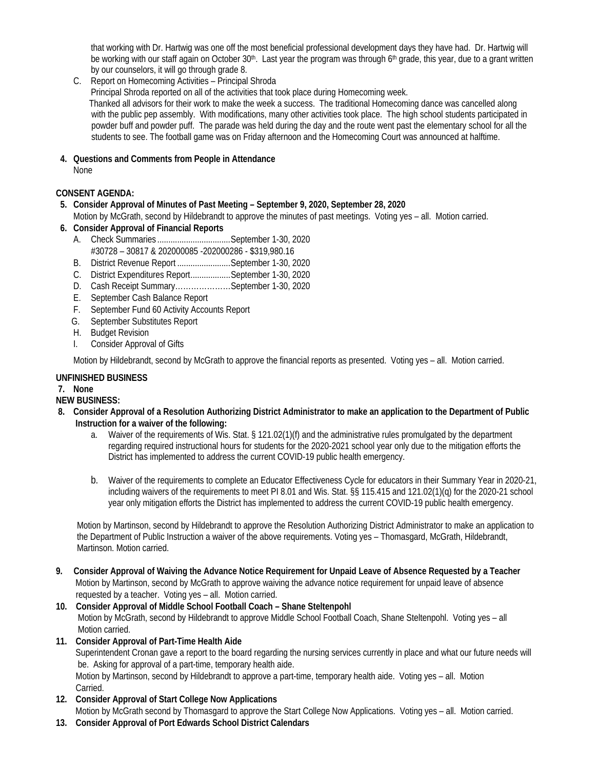that working with Dr. Hartwig was one off the most beneficial professional development days they have had. Dr. Hartwig will be working with our staff again on October 30<sup>th</sup>. Last year the program was through 6<sup>th</sup> grade, this year, due to a grant written by our counselors, it will go through grade 8.

 C. Report on Homecoming Activities – Principal Shroda Principal Shroda reported on all of the activities that took place during Homecoming week. Thanked all advisors for their work to make the week a success. The traditional Homecoming dance was cancelled along with the public pep assembly. With modifications, many other activities took place. The high school students participated in powder buff and powder puff. The parade was held during the day and the route went past the elementary school for all the students to see. The football game was on Friday afternoon and the Homecoming Court was announced at halftime.

#### **4. Questions and Comments from People in Attendance**  None

#### **CONSENT AGENDA:**

 **5. Consider Approval of Minutes of Past Meeting – September 9, 2020, September 28, 2020** 

 Motion by McGrath, second by Hildebrandt to approve the minutes of past meetings. Voting yes – all. Motion carried.  **6. Consider Approval of Financial Reports** 

- A. Check Summaries ................................. September 1-30, 2020
- #30728 30817 & 202000085 -202000286 \$319,980.16
- B. District Revenue Report ........................ September 1-30, 2020
- C. District Expenditures Report .................. September 1-30, 2020
- D. Cash Receipt Summary…………………September 1-30, 2020
- E. September Cash Balance Report
- F. September Fund 60 Activity Accounts Report
- G. September Substitutes Report
- H. Budget Revision
- I. Consider Approval of Gifts

Motion by Hildebrandt, second by McGrath to approve the financial reports as presented. Voting yes – all. Motion carried.

#### **UNFINISHED BUSINESS**

#### **7. None**

#### **NEW BUSINESS:**

- **8. Consider Approval of a Resolution Authorizing District Administrator to make an application to the Department of Public Instruction for a waiver of the following:** 
	- a. Waiver of the requirements of Wis. Stat. § 121.02(1)(f) and the administrative rules promulgated by the department regarding required instructional hours for students for the 2020-2021 school year only due to the mitigation efforts the District has implemented to address the current COVID-19 public health emergency.
	- b. Waiver of the requirements to complete an Educator Effectiveness Cycle for educators in their Summary Year in 2020-21, including waivers of the requirements to meet PI 8.01 and Wis. Stat. §§ 115.415 and 121.02(1)(q) for the 2020-21 school year only mitigation efforts the District has implemented to address the current COVID-19 public health emergency.

Motion by Martinson, second by Hildebrandt to approve the Resolution Authorizing District Administrator to make an application to the Department of Public Instruction a waiver of the above requirements. Voting yes – Thomasgard, McGrath, Hildebrandt, Martinson. Motion carried.

**9. Consider Approval of Waiving the Advance Notice Requirement for Unpaid Leave of Absence Requested by a Teacher**  Motion by Martinson, second by McGrath to approve waiving the advance notice requirement for unpaid leave of absence requested by a teacher. Voting yes – all. Motion carried.

#### **10. Consider Approval of Middle School Football Coach – Shane Steltenpohl**

 Motion by McGrath, second by Hildebrandt to approve Middle School Football Coach, Shane Steltenpohl. Voting yes – all Motion carried.

**11. Consider Approval of Part-Time Health Aide**  Superintendent Cronan gave a report to the board regarding the nursing services currently in place and what our future needs will be. Asking for approval of a part-time, temporary health aide.

 Motion by Martinson, second by Hildebrandt to approve a part-time, temporary health aide. Voting yes – all. Motion Carried.

**12. Consider Approval of Start College Now Applications** 

Motion by McGrath second by Thomasgard to approve the Start College Now Applications. Voting yes – all. Motion carried.

**13. Consider Approval of Port Edwards School District Calendars**